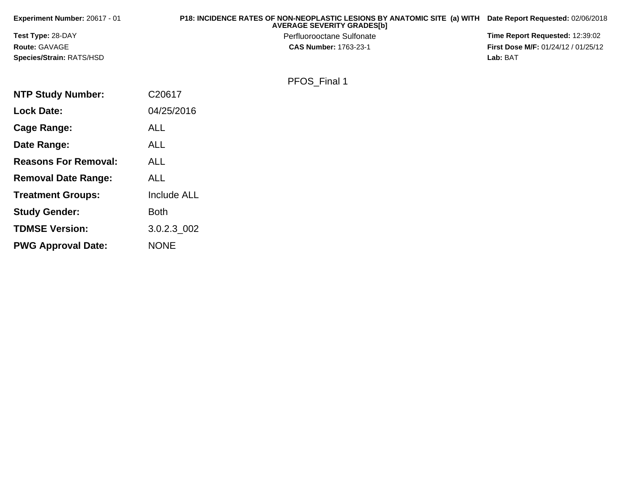| Experiment Number: 20617 - 01   | P18: INCIDENCE RATES OF NON-NEOPLASTIC LESIONS BY ANATOMIC SITE (a) WITH<br><b>AVERAGE SEVERITY GRADES[b]</b> | Date Report Requested: 02/06/2018          |
|---------------------------------|---------------------------------------------------------------------------------------------------------------|--------------------------------------------|
| <b>Test Type: 28-DAY</b>        | Perfluorooctane Sulfonate                                                                                     | Time Report Requested: 12:39:02            |
| <b>Route: GAVAGE</b>            | <b>CAS Number: 1763-23-1</b>                                                                                  | <b>First Dose M/F: 01/24/12 / 01/25/12</b> |
| <b>Species/Strain: RATS/HSD</b> |                                                                                                               | Lab: BAT                                   |
|                                 | PFOS Final 1                                                                                                  |                                            |
| <b>NTP Study Number:</b>        | C <sub>20617</sub>                                                                                            |                                            |
| <b>Lock Date:</b>               | 04/25/2016                                                                                                    |                                            |

| Lock Date:                  | 04/25/2016         |
|-----------------------------|--------------------|
| Cage Range:                 | ALL                |
| Date Range:                 | ALL                |
| <b>Reasons For Removal:</b> | ALL                |
| <b>Removal Date Range:</b>  | ALL                |
| <b>Treatment Groups:</b>    | <b>Include ALL</b> |
| <b>Study Gender:</b>        | Both               |
| <b>TDMSE Version:</b>       | 3.0.2.3 002        |
| <b>PWG Approval Date:</b>   | NONE               |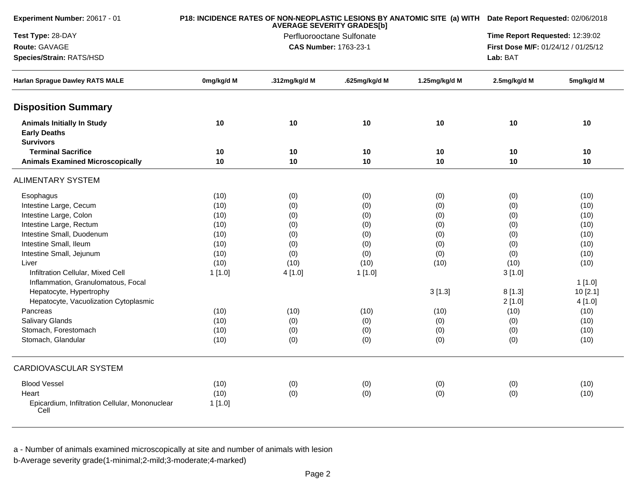| Experiment Number: 20617 - 01                                                | P18: INCIDENCE RATES OF NON-NEOPLASTIC LESIONS BY ANATOMIC SITE (a) WITH Date Report Requested: 02/06/2018<br><b>AVERAGE SEVERITY GRADES[b]</b> |                              |                                 |               |                                     |            |  |  |
|------------------------------------------------------------------------------|-------------------------------------------------------------------------------------------------------------------------------------------------|------------------------------|---------------------------------|---------------|-------------------------------------|------------|--|--|
| Test Type: 28-DAY                                                            |                                                                                                                                                 |                              | Time Report Requested: 12:39:02 |               |                                     |            |  |  |
| Route: GAVAGE                                                                |                                                                                                                                                 | <b>CAS Number: 1763-23-1</b> |                                 |               | First Dose M/F: 01/24/12 / 01/25/12 |            |  |  |
| Species/Strain: RATS/HSD                                                     |                                                                                                                                                 |                              |                                 |               | Lab: BAT                            |            |  |  |
| <b>Harlan Sprague Dawley RATS MALE</b>                                       | 0mg/kg/d M                                                                                                                                      | .312mg/kg/d M                | .625mg/kg/d M                   | 1.25mg/kg/d M | 2.5mg/kg/d M                        | 5mg/kg/d M |  |  |
| <b>Disposition Summary</b>                                                   |                                                                                                                                                 |                              |                                 |               |                                     |            |  |  |
| <b>Animals Initially In Study</b><br><b>Early Deaths</b><br><b>Survivors</b> | 10                                                                                                                                              | 10                           | 10                              | 10            | 10                                  | 10         |  |  |
| <b>Terminal Sacrifice</b>                                                    | 10                                                                                                                                              | 10                           | 10                              | 10            | 10                                  | 10         |  |  |
| <b>Animals Examined Microscopically</b>                                      | 10                                                                                                                                              | 10                           | 10                              | 10            | 10                                  | 10         |  |  |
| <b>ALIMENTARY SYSTEM</b>                                                     |                                                                                                                                                 |                              |                                 |               |                                     |            |  |  |
| Esophagus                                                                    | (10)                                                                                                                                            | (0)                          | (0)                             | (0)           | (0)                                 | (10)       |  |  |
| Intestine Large, Cecum                                                       | (10)                                                                                                                                            | (0)                          | (0)                             | (0)           | (0)                                 | (10)       |  |  |
| Intestine Large, Colon                                                       | (10)                                                                                                                                            | (0)                          | (0)                             | (0)           | (0)                                 | (10)       |  |  |
| Intestine Large, Rectum                                                      | (10)                                                                                                                                            | (0)                          | (0)                             | (0)           | (0)                                 | (10)       |  |  |
| Intestine Small, Duodenum                                                    | (10)                                                                                                                                            | (0)                          | (0)                             | (0)           | (0)                                 | (10)       |  |  |
| Intestine Small, Ileum                                                       | (10)                                                                                                                                            | (0)                          | (0)                             | (0)           | (0)                                 | (10)       |  |  |
| Intestine Small, Jejunum                                                     | (10)                                                                                                                                            | (0)                          | (0)                             | (0)           | (0)                                 | (10)       |  |  |
| Liver                                                                        | (10)                                                                                                                                            | (10)                         | (10)                            | (10)          | (10)                                | (10)       |  |  |
| Infiltration Cellular, Mixed Cell                                            | 1[1.0]                                                                                                                                          | 4 [1.0]                      | 1[1.0]                          |               | 3[1.0]                              |            |  |  |
| Inflammation, Granulomatous, Focal                                           |                                                                                                                                                 |                              |                                 |               |                                     | 1[1.0]     |  |  |
| Hepatocyte, Hypertrophy                                                      |                                                                                                                                                 |                              |                                 | 3[1.3]        | 8[1.3]                              | 10[2.1]    |  |  |
| Hepatocyte, Vacuolization Cytoplasmic                                        |                                                                                                                                                 |                              |                                 |               | 2[1.0]                              | 4[1.0]     |  |  |
| Pancreas                                                                     | (10)                                                                                                                                            | (10)                         | (10)                            | (10)          | (10)                                | (10)       |  |  |
| <b>Salivary Glands</b>                                                       | (10)                                                                                                                                            | (0)                          | (0)                             | (0)           | (0)                                 | (10)       |  |  |
| Stomach, Forestomach                                                         | (10)                                                                                                                                            | (0)                          | (0)                             | (0)           | (0)                                 | (10)       |  |  |
| Stomach, Glandular                                                           | (10)                                                                                                                                            | (0)                          | (0)                             | (0)           | (0)                                 | (10)       |  |  |
| <b>CARDIOVASCULAR SYSTEM</b>                                                 |                                                                                                                                                 |                              |                                 |               |                                     |            |  |  |
| <b>Blood Vessel</b>                                                          | (10)                                                                                                                                            | (0)                          | (0)                             | (0)           | (0)                                 | (10)       |  |  |
| Heart                                                                        | (10)                                                                                                                                            | (0)                          | (0)                             | (0)           | (0)                                 | (10)       |  |  |
| Epicardium, Infiltration Cellular, Mononuclear<br>Cell                       | 1 [1.0]                                                                                                                                         |                              |                                 |               |                                     |            |  |  |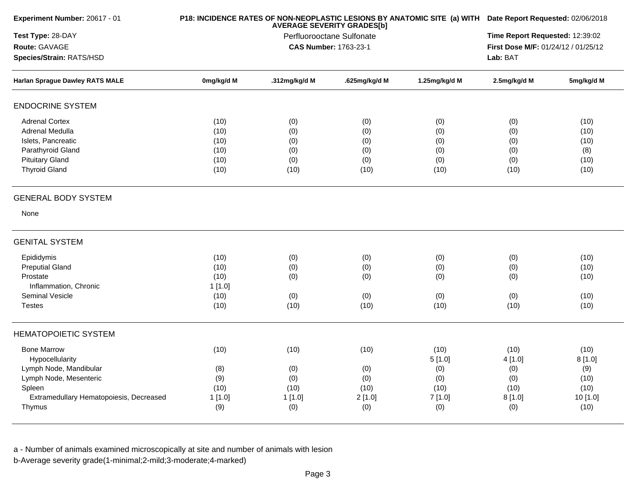| Experiment Number: 20617 - 01                                                                                                                            |                                                | P18: INCIDENCE RATES OF NON-NEOPLASTIC LESIONS BY ANATOMIC SITE (a) WITH Date Report Requested: 02/06/2018 |                                             |                                                        |                                                       |                                                           |
|----------------------------------------------------------------------------------------------------------------------------------------------------------|------------------------------------------------|------------------------------------------------------------------------------------------------------------|---------------------------------------------|--------------------------------------------------------|-------------------------------------------------------|-----------------------------------------------------------|
| Test Type: 28-DAY<br>Route: GAVAGE<br>Species/Strain: RATS/HSD                                                                                           |                                                | Time Report Requested: 12:39:02<br>First Dose M/F: 01/24/12 / 01/25/12<br>Lab: BAT                         |                                             |                                                        |                                                       |                                                           |
| <b>Harlan Sprague Dawley RATS MALE</b>                                                                                                                   | 0mg/kg/d M                                     | .312mg/kg/d M                                                                                              | .625mg/kg/d M                               | 1.25mg/kg/d M                                          | 2.5mg/kg/d M                                          | 5mg/kg/d M                                                |
| <b>ENDOCRINE SYSTEM</b>                                                                                                                                  |                                                |                                                                                                            |                                             |                                                        |                                                       |                                                           |
| <b>Adrenal Cortex</b><br>Adrenal Medulla<br>Islets, Pancreatic<br>Parathyroid Gland<br><b>Pituitary Gland</b><br><b>Thyroid Gland</b>                    | (10)<br>(10)<br>(10)<br>(10)<br>(10)<br>(10)   | (0)<br>(0)<br>(0)<br>(0)<br>(0)<br>(10)                                                                    | (0)<br>(0)<br>(0)<br>(0)<br>(0)<br>(10)     | (0)<br>(0)<br>(0)<br>(0)<br>(0)<br>(10)                | (0)<br>(0)<br>(0)<br>(0)<br>(0)<br>(10)               | (10)<br>(10)<br>(10)<br>(8)<br>(10)<br>(10)               |
| <b>GENERAL BODY SYSTEM</b>                                                                                                                               |                                                |                                                                                                            |                                             |                                                        |                                                       |                                                           |
| None                                                                                                                                                     |                                                |                                                                                                            |                                             |                                                        |                                                       |                                                           |
| <b>GENITAL SYSTEM</b>                                                                                                                                    |                                                |                                                                                                            |                                             |                                                        |                                                       |                                                           |
| Epididymis<br><b>Preputial Gland</b><br>Prostate<br>Inflammation, Chronic<br><b>Seminal Vesicle</b><br><b>Testes</b>                                     | (10)<br>(10)<br>(10)<br>1[1.0]<br>(10)<br>(10) | (0)<br>(0)<br>(0)<br>(0)<br>(10)                                                                           | (0)<br>(0)<br>(0)<br>(0)<br>(10)            | (0)<br>(0)<br>(0)<br>(0)<br>(10)                       | (0)<br>(0)<br>(0)<br>(0)<br>(10)                      | (10)<br>(10)<br>(10)<br>(10)<br>(10)                      |
| <b>HEMATOPOIETIC SYSTEM</b>                                                                                                                              |                                                |                                                                                                            |                                             |                                                        |                                                       |                                                           |
| <b>Bone Marrow</b><br>Hypocellularity<br>Lymph Node, Mandibular<br>Lymph Node, Mesenteric<br>Spleen<br>Extramedullary Hematopoiesis, Decreased<br>Thymus | (10)<br>(8)<br>(9)<br>(10)<br>1[1.0]<br>(9)    | (10)<br>(0)<br>(0)<br>(10)<br>1[1.0]<br>(0)                                                                | (10)<br>(0)<br>(0)<br>(10)<br>2[1.0]<br>(0) | (10)<br>5[1.0]<br>(0)<br>(0)<br>(10)<br>7 [1.0]<br>(0) | (10)<br>4[1.0]<br>(0)<br>(0)<br>(10)<br>8[1.0]<br>(0) | (10)<br>8[1.0]<br>(9)<br>(10)<br>(10)<br>10 [1.0]<br>(10) |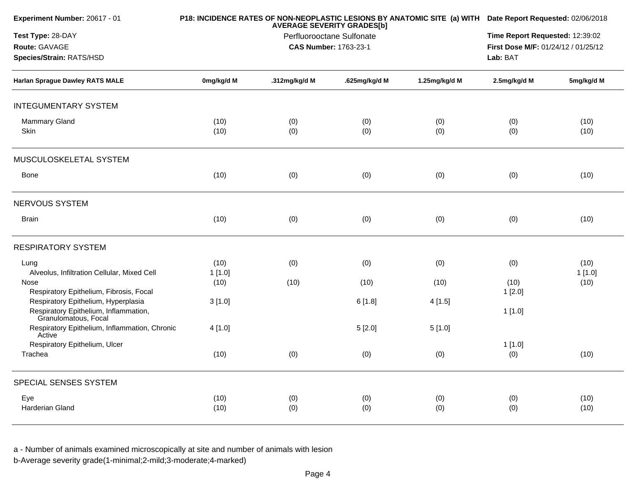| Experiment Number: 20617 - 01                                                                        |                | P18: INCIDENCE RATES OF NON-NEOPLASTIC LESIONS BY ANATOMIC SITE (a) WITH Date Report Requested: 02/06/2018 |                                                                        |               |                |                |
|------------------------------------------------------------------------------------------------------|----------------|------------------------------------------------------------------------------------------------------------|------------------------------------------------------------------------|---------------|----------------|----------------|
| Test Type: 28-DAY<br>Route: GAVAGE<br>Species/Strain: RATS/HSD                                       |                | Lab: BAT                                                                                                   | Time Report Requested: 12:39:02<br>First Dose M/F: 01/24/12 / 01/25/12 |               |                |                |
| <b>Harlan Sprague Dawley RATS MALE</b>                                                               | 0mg/kg/d M     | .312mg/kg/d M                                                                                              | .625mg/kg/d M                                                          | 1.25mg/kg/d M | 2.5mg/kg/d M   | 5mg/kg/d M     |
| <b>INTEGUMENTARY SYSTEM</b>                                                                          |                |                                                                                                            |                                                                        |               |                |                |
| Mammary Gland<br>Skin                                                                                | (10)<br>(10)   | (0)<br>(0)                                                                                                 | (0)<br>(0)                                                             | (0)<br>(0)    | (0)<br>(0)     | (10)<br>(10)   |
| MUSCULOSKELETAL SYSTEM                                                                               |                |                                                                                                            |                                                                        |               |                |                |
| <b>Bone</b>                                                                                          | (10)           | (0)                                                                                                        | (0)                                                                    | (0)           | (0)            | (10)           |
| NERVOUS SYSTEM                                                                                       |                |                                                                                                            |                                                                        |               |                |                |
| <b>Brain</b>                                                                                         | (10)           | (0)                                                                                                        | (0)                                                                    | (0)           | (0)            | (10)           |
| <b>RESPIRATORY SYSTEM</b>                                                                            |                |                                                                                                            |                                                                        |               |                |                |
| Lung<br>Alveolus, Infiltration Cellular, Mixed Cell                                                  | (10)<br>1[1.0] | (0)                                                                                                        | (0)                                                                    | (0)           | (0)            | (10)<br>1[1.0] |
| Nose<br>Respiratory Epithelium, Fibrosis, Focal                                                      | (10)           | (10)                                                                                                       | (10)                                                                   | (10)          | (10)<br>1[2.0] | (10)           |
| Respiratory Epithelium, Hyperplasia<br>Respiratory Epithelium, Inflammation,<br>Granulomatous, Focal | 3[1.0]         |                                                                                                            | 6[1.8]                                                                 | 4[1.5]        | 1[1.0]         |                |
| Respiratory Epithelium, Inflammation, Chronic<br>Active                                              | 4[1.0]         |                                                                                                            | 5[2.0]                                                                 | 5[1.0]        |                |                |
| Respiratory Epithelium, Ulcer<br>Trachea                                                             | (10)           | (0)                                                                                                        | (0)                                                                    | (0)           | 1[1.0]<br>(0)  | (10)           |
| SPECIAL SENSES SYSTEM                                                                                |                |                                                                                                            |                                                                        |               |                |                |
| Eye<br><b>Harderian Gland</b>                                                                        | (10)<br>(10)   | (0)<br>(0)                                                                                                 | (0)<br>(0)                                                             | (0)<br>(0)    | (0)<br>(0)     | (10)<br>(10)   |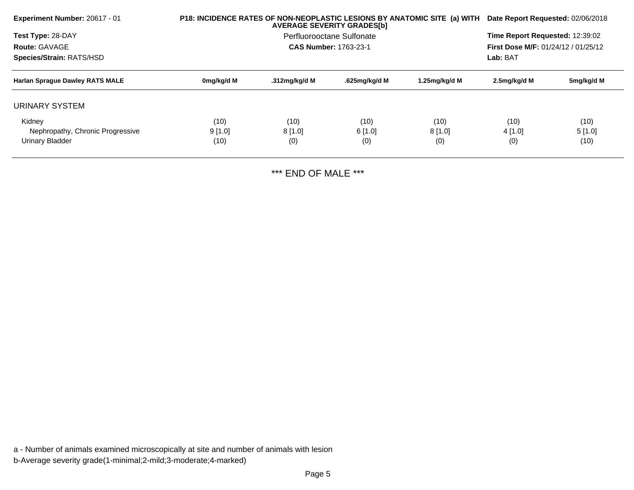| <b>Experiment Number: 20617 - 01</b>   |            | P18: INCIDENCE RATES OF NON-NEOPLASTIC LESIONS BY ANATOMIC SITE (a) WITH<br><b>AVERAGE SEVERITY GRADES[b]</b> |                                 |               |                                     |            |  |
|----------------------------------------|------------|---------------------------------------------------------------------------------------------------------------|---------------------------------|---------------|-------------------------------------|------------|--|
| Test Type: 28-DAY                      |            | Perfluorooctane Sulfonate                                                                                     | Time Report Requested: 12:39:02 |               |                                     |            |  |
| Route: GAVAGE                          |            |                                                                                                               | <b>CAS Number: 1763-23-1</b>    |               | First Dose M/F: 01/24/12 / 01/25/12 |            |  |
| Species/Strain: RATS/HSD               |            |                                                                                                               |                                 |               |                                     |            |  |
| <b>Harlan Sprague Dawley RATS MALE</b> | 0mg/kg/d M | .312mg/kg/d M                                                                                                 | .625mg/kg/d M                   | 1.25mg/kg/d M | 2.5mg/kg/d M                        | 5mg/kg/d M |  |
| URINARY SYSTEM                         |            |                                                                                                               |                                 |               |                                     |            |  |
| Kidney                                 | (10)       | (10)                                                                                                          | (10)                            | (10)          | (10)                                | (10)       |  |
| Nephropathy, Chronic Progressive       | 9[1.0]     | 8[1.0]                                                                                                        | 6[1.0]                          | $8$ [1.0]     | 4 [1.0]                             | 5[1.0]     |  |
| Urinary Bladder                        | (10)       | (0)                                                                                                           | (0)                             | (0)           | (0)                                 | (10)       |  |
|                                        |            |                                                                                                               |                                 |               |                                     |            |  |

\*\*\* END OF MALE \*\*\*

a - Number of animals examined microscopically at site and number of animals with lesionb-Average severity grade(1-minimal;2-mild;3-moderate;4-marked)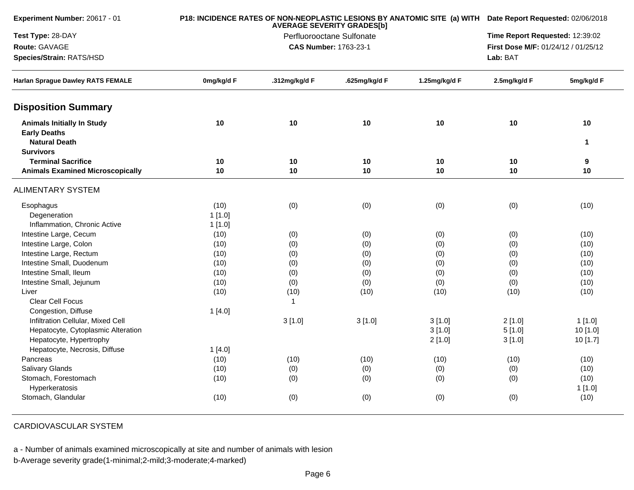| <b>Experiment Number: 20617 - 01</b>     | P18: INCIDENCE RATES OF NON-NEOPLASTIC LESIONS BY ANATOMIC SITE (a) WITH Date Report Requested: 02/06/2018<br><b>AVERAGE SEVERITY GRADES[b]</b> |                           |                              |                                     |              |                                 |  |
|------------------------------------------|-------------------------------------------------------------------------------------------------------------------------------------------------|---------------------------|------------------------------|-------------------------------------|--------------|---------------------------------|--|
| Test Type: 28-DAY                        |                                                                                                                                                 | Perfluorooctane Sulfonate |                              |                                     |              | Time Report Requested: 12:39:02 |  |
| Route: GAVAGE                            |                                                                                                                                                 |                           | <b>CAS Number: 1763-23-1</b> | First Dose M/F: 01/24/12 / 01/25/12 |              |                                 |  |
| Species/Strain: RATS/HSD                 |                                                                                                                                                 |                           |                              |                                     | Lab: BAT     |                                 |  |
| <b>Harlan Sprague Dawley RATS FEMALE</b> | 0mg/kg/d F                                                                                                                                      | .312mg/kg/d F             | .625mg/kg/d F                | 1.25mg/kg/d F                       | 2.5mg/kg/d F | 5mg/kg/d F                      |  |
| <b>Disposition Summary</b>               |                                                                                                                                                 |                           |                              |                                     |              |                                 |  |
| <b>Animals Initially In Study</b>        | 10                                                                                                                                              | 10                        | 10                           | 10                                  | 10           | $10$                            |  |
| <b>Early Deaths</b>                      |                                                                                                                                                 |                           |                              |                                     |              |                                 |  |
| <b>Natural Death</b>                     |                                                                                                                                                 |                           |                              |                                     |              | $\mathbf{1}$                    |  |
| <b>Survivors</b>                         |                                                                                                                                                 |                           |                              |                                     |              |                                 |  |
| <b>Terminal Sacrifice</b>                | 10                                                                                                                                              | 10                        | 10                           | 10                                  | 10           | 9                               |  |
| <b>Animals Examined Microscopically</b>  | 10                                                                                                                                              | 10                        | 10                           | 10                                  | 10           | 10                              |  |
| <b>ALIMENTARY SYSTEM</b>                 |                                                                                                                                                 |                           |                              |                                     |              |                                 |  |
| Esophagus                                | (10)                                                                                                                                            | (0)                       | (0)                          | (0)                                 | (0)          | (10)                            |  |
| Degeneration                             | 1[1.0]                                                                                                                                          |                           |                              |                                     |              |                                 |  |
| Inflammation, Chronic Active             | 1[1.0]                                                                                                                                          |                           |                              |                                     |              |                                 |  |
| Intestine Large, Cecum                   | (10)                                                                                                                                            | (0)                       | (0)                          | (0)                                 | (0)          | (10)                            |  |
| Intestine Large, Colon                   | (10)                                                                                                                                            | (0)                       | (0)                          | (0)                                 | (0)          | (10)                            |  |
| Intestine Large, Rectum                  | (10)                                                                                                                                            | (0)                       | (0)                          | (0)                                 | (0)          | (10)                            |  |
| Intestine Small, Duodenum                | (10)                                                                                                                                            | (0)                       | (0)                          | (0)                                 | (0)          | (10)                            |  |
| Intestine Small, Ileum                   | (10)                                                                                                                                            | (0)                       | (0)                          | (0)                                 | (0)          | (10)                            |  |
| Intestine Small, Jejunum                 | (10)                                                                                                                                            | (0)                       | (0)                          | (0)                                 | (0)          | (10)                            |  |
| Liver                                    | (10)                                                                                                                                            | (10)                      | (10)                         | (10)                                | (10)         | (10)                            |  |
| Clear Cell Focus                         |                                                                                                                                                 | $\mathbf{1}$              |                              |                                     |              |                                 |  |
| Congestion, Diffuse                      | 1[4.0]                                                                                                                                          |                           |                              |                                     |              |                                 |  |
| Infiltration Cellular, Mixed Cell        |                                                                                                                                                 | 3[1.0]                    | 3[1.0]                       | 3[1.0]                              | 2[1.0]       | 1[1.0]                          |  |
| Hepatocyte, Cytoplasmic Alteration       |                                                                                                                                                 |                           |                              | 3[1.0]                              | 5[1.0]       | 10 [1.0]                        |  |
| Hepatocyte, Hypertrophy                  |                                                                                                                                                 |                           |                              | 2[1.0]                              | 3[1.0]       | 10 [1.7]                        |  |
| Hepatocyte, Necrosis, Diffuse            | 1[4.0]                                                                                                                                          |                           |                              |                                     |              |                                 |  |
| Pancreas                                 | (10)                                                                                                                                            | (10)                      | (10)                         | (10)                                | (10)         | (10)                            |  |
| Salivary Glands                          | (10)                                                                                                                                            | (0)                       | (0)                          | (0)                                 | (0)          | (10)                            |  |
| Stomach, Forestomach                     | (10)                                                                                                                                            | (0)                       | (0)                          | (0)                                 | (0)          | (10)                            |  |
| Hyperkeratosis                           |                                                                                                                                                 |                           |                              |                                     |              | 1[1.0]                          |  |
| Stomach, Glandular                       | (10)                                                                                                                                            | (0)                       | (0)                          | (0)                                 | (0)          | (10)                            |  |

CARDIOVASCULAR SYSTEM

a - Number of animals examined microscopically at site and number of animals with lesion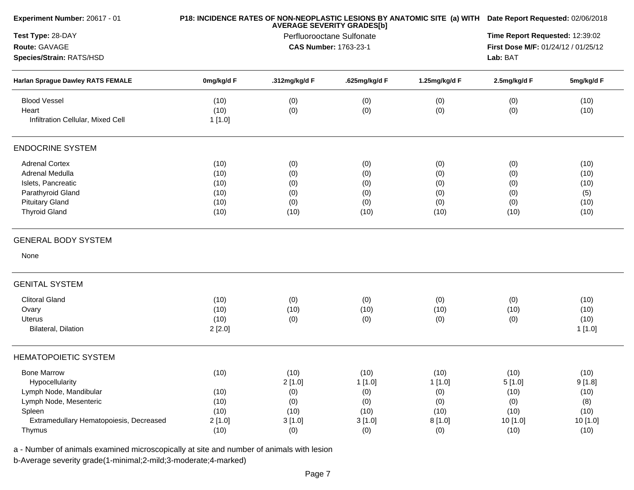| Experiment Number: 20617 - 01           | P18: INCIDENCE RATES OF NON-NEOPLASTIC LESIONS BY ANATOMIC SITE (a) WITH | Date Report Requested: 02/06/2018 |                                                                |               |                                     |            |  |
|-----------------------------------------|--------------------------------------------------------------------------|-----------------------------------|----------------------------------------------------------------|---------------|-------------------------------------|------------|--|
| Test Type: 28-DAY                       |                                                                          |                                   | <b>AVERAGE SEVERITY GRADES[b]</b><br>Perfluorooctane Sulfonate |               | Time Report Requested: 12:39:02     |            |  |
| Route: GAVAGE                           |                                                                          | <b>CAS Number: 1763-23-1</b>      |                                                                |               | First Dose M/F: 01/24/12 / 01/25/12 |            |  |
| Species/Strain: RATS/HSD                |                                                                          |                                   |                                                                |               | Lab: BAT                            |            |  |
| Harlan Sprague Dawley RATS FEMALE       | 0mg/kg/d F                                                               | .312mg/kg/d F                     | .625mg/kg/d F                                                  | 1.25mg/kg/d F | 2.5mg/kg/d F                        | 5mg/kg/d F |  |
| <b>Blood Vessel</b>                     | (10)                                                                     | (0)                               | (0)                                                            | (0)           | (0)                                 | (10)       |  |
| Heart                                   | (10)                                                                     | (0)                               | (0)                                                            | (0)           | (0)                                 | (10)       |  |
| Infiltration Cellular, Mixed Cell       | 1[1.0]                                                                   |                                   |                                                                |               |                                     |            |  |
| <b>ENDOCRINE SYSTEM</b>                 |                                                                          |                                   |                                                                |               |                                     |            |  |
| <b>Adrenal Cortex</b>                   | (10)                                                                     | (0)                               | (0)                                                            | (0)           | (0)                                 | (10)       |  |
| <b>Adrenal Medulla</b>                  | (10)                                                                     | (0)                               | (0)                                                            | (0)           | (0)                                 | (10)       |  |
| Islets, Pancreatic                      | (10)                                                                     | (0)                               | (0)                                                            | (0)           | (0)                                 | (10)       |  |
| Parathyroid Gland                       | (10)                                                                     | (0)                               | (0)                                                            | (0)           | (0)                                 | (5)        |  |
| <b>Pituitary Gland</b>                  | (10)                                                                     | (0)                               | (0)                                                            | (0)           | (0)                                 | (10)       |  |
| <b>Thyroid Gland</b>                    | (10)                                                                     | (10)                              | (10)                                                           | (10)          | (10)                                | (10)       |  |
| <b>GENERAL BODY SYSTEM</b>              |                                                                          |                                   |                                                                |               |                                     |            |  |
| None                                    |                                                                          |                                   |                                                                |               |                                     |            |  |
| <b>GENITAL SYSTEM</b>                   |                                                                          |                                   |                                                                |               |                                     |            |  |
| <b>Clitoral Gland</b>                   | (10)                                                                     | (0)                               | (0)                                                            | (0)           | (0)                                 | (10)       |  |
| Ovary                                   | (10)                                                                     | (10)                              | (10)                                                           | (10)          | (10)                                | (10)       |  |
| Uterus                                  | (10)                                                                     | (0)                               | (0)                                                            | (0)           | (0)                                 | (10)       |  |
| Bilateral, Dilation                     | 2[2.0]                                                                   |                                   |                                                                |               |                                     | 1[1.0]     |  |
| <b>HEMATOPOIETIC SYSTEM</b>             |                                                                          |                                   |                                                                |               |                                     |            |  |
| <b>Bone Marrow</b>                      | (10)                                                                     | (10)                              | (10)                                                           | (10)          | (10)                                | (10)       |  |
| Hypocellularity                         |                                                                          | 2[1.0]                            | 1[1.0]                                                         | 1[1.0]        | 5[1.0]                              | 9[1.8]     |  |
| Lymph Node, Mandibular                  | (10)                                                                     | (0)                               | (0)                                                            | (0)           | (10)                                | (10)       |  |
| Lymph Node, Mesenteric                  | (10)                                                                     | (0)                               | (0)                                                            | (0)           | (0)                                 | (8)        |  |
| Spleen                                  | (10)                                                                     | (10)                              | (10)                                                           | (10)          | (10)                                | (10)       |  |
| Extramedullary Hematopoiesis, Decreased | 2[1.0]                                                                   | 3[1.0]                            | 3[1.0]                                                         | 8[1.0]        | 10 [1.0]                            | 10 [1.0]   |  |
| Thymus                                  | (10)                                                                     | (0)                               | (0)                                                            | (0)           | (10)                                | (10)       |  |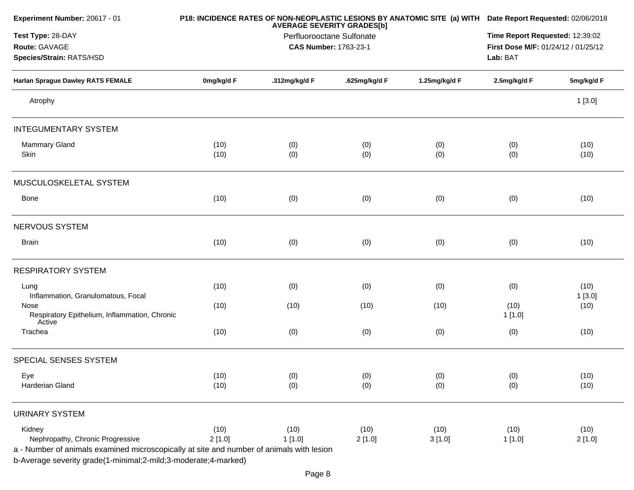| Experiment Number: 20617 - 01                                                            |            | P18: INCIDENCE RATES OF NON-NEOPLASTIC LESIONS BY ANATOMIC SITE (a) WITH Date Report Requested: 02/06/2018 |                                     |               |                 |            |  |  |
|------------------------------------------------------------------------------------------|------------|------------------------------------------------------------------------------------------------------------|-------------------------------------|---------------|-----------------|------------|--|--|
| Test Type: 28-DAY                                                                        |            | <b>AVERAGE SEVERITY GRADES[b]</b><br>Perfluorooctane Sulfonate                                             | Time Report Requested: 12:39:02     |               |                 |            |  |  |
| Route: GAVAGE                                                                            |            | CAS Number: 1763-23-1                                                                                      | First Dose M/F: 01/24/12 / 01/25/12 |               |                 |            |  |  |
| Species/Strain: RATS/HSD                                                                 |            |                                                                                                            |                                     |               | Lab: BAT        |            |  |  |
| <b>Harlan Sprague Dawley RATS FEMALE</b>                                                 | 0mg/kg/d F | .312mg/kg/d F                                                                                              | .625mg/kg/d F                       | 1.25mg/kg/d F | 2.5mg/kg/d F    | 5mg/kg/d F |  |  |
| Atrophy                                                                                  |            |                                                                                                            |                                     |               |                 | 1[3.0]     |  |  |
| <b>INTEGUMENTARY SYSTEM</b>                                                              |            |                                                                                                            |                                     |               |                 |            |  |  |
| Mammary Gland                                                                            | (10)       | (0)                                                                                                        | (0)                                 | (0)           | (0)             | (10)       |  |  |
| Skin                                                                                     | (10)       | (0)                                                                                                        | (0)                                 | (0)           | (0)             | (10)       |  |  |
| MUSCULOSKELETAL SYSTEM                                                                   |            |                                                                                                            |                                     |               |                 |            |  |  |
| <b>Bone</b>                                                                              | (10)       | (0)                                                                                                        | (0)                                 | (0)           | (0)             | (10)       |  |  |
| NERVOUS SYSTEM                                                                           |            |                                                                                                            |                                     |               |                 |            |  |  |
| <b>Brain</b>                                                                             | (10)       | (0)                                                                                                        | (0)                                 | (0)           | (0)             | (10)       |  |  |
| <b>RESPIRATORY SYSTEM</b>                                                                |            |                                                                                                            |                                     |               |                 |            |  |  |
| Lung                                                                                     | (10)       | (0)                                                                                                        | (0)                                 | (0)           | (0)             | (10)       |  |  |
| Inflammation, Granulomatous, Focal                                                       |            |                                                                                                            |                                     |               |                 | 1[3.0]     |  |  |
| Nose<br>Respiratory Epithelium, Inflammation, Chronic<br>Active                          | (10)       | (10)                                                                                                       | (10)                                | (10)          | (10)<br>1 [1.0] | (10)       |  |  |
| Trachea                                                                                  | (10)       | (0)                                                                                                        | (0)                                 | (0)           | (0)             | (10)       |  |  |
| SPECIAL SENSES SYSTEM                                                                    |            |                                                                                                            |                                     |               |                 |            |  |  |
| Eye                                                                                      | (10)       | (0)                                                                                                        | (0)                                 | (0)           | (0)             | (10)       |  |  |
| Harderian Gland                                                                          | (10)       | (0)                                                                                                        | (0)                                 | (0)           | (0)             | (10)       |  |  |
| <b>URINARY SYSTEM</b>                                                                    |            |                                                                                                            |                                     |               |                 |            |  |  |
| Kidney                                                                                   | (10)       | (10)                                                                                                       | (10)                                | (10)          | (10)            | (10)       |  |  |
| Nephropathy, Chronic Progressive                                                         | 2[1.0]     | 1[1.0]                                                                                                     | 2[1.0]                              | 3[1.0]        | 1[1.0]          | 2[1.0]     |  |  |
| a - Number of animals examined microscopically at site and number of animals with lesion |            |                                                                                                            |                                     |               |                 |            |  |  |
| b-Average severity grade(1-minimal;2-mild;3-moderate;4-marked)                           |            |                                                                                                            |                                     |               |                 |            |  |  |